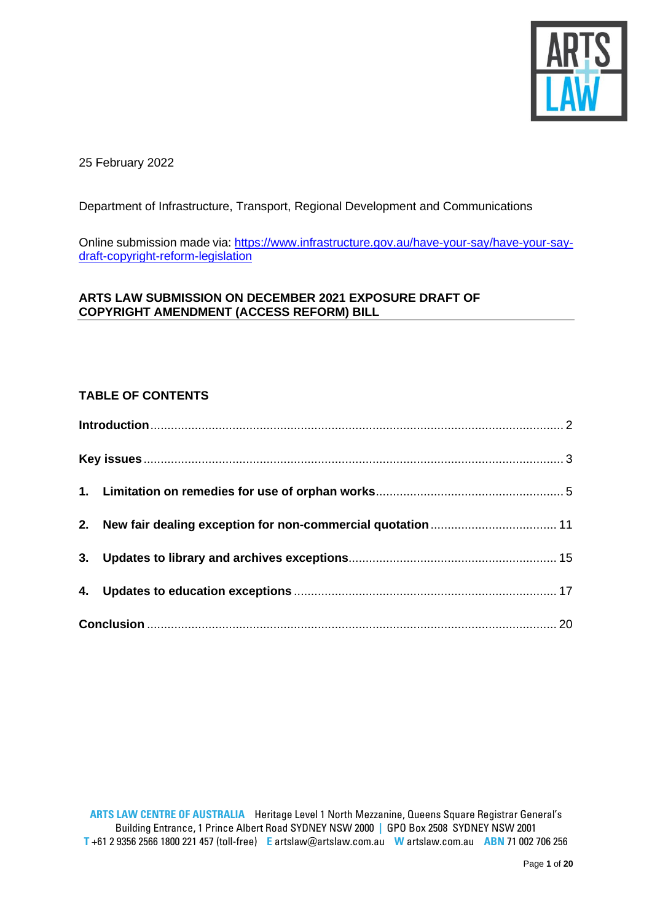

25 February 2022

Department of Infrastructure, Transport, Regional Development and Communications

Online submission made via: [https://www.infrastructure.gov.au/have-your-say/have-your-say](https://www.infrastructure.gov.au/have-your-say/have-your-say-draft-copyright-reform-legislation)[draft-copyright-reform-legislation](https://www.infrastructure.gov.au/have-your-say/have-your-say-draft-copyright-reform-legislation)

# **ARTS LAW SUBMISSION ON DECEMBER 2021 EXPOSURE DRAFT OF COPYRIGHT AMENDMENT (ACCESS REFORM) BILL**

# **TABLE OF CONTENTS**

<span id="page-0-0"></span>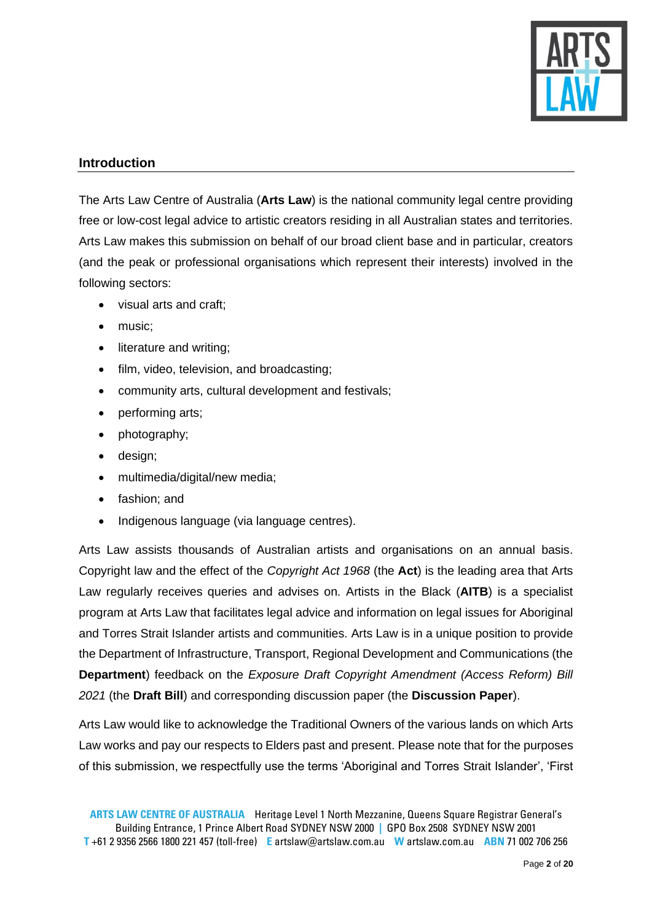

# **Introduction**

The Arts Law Centre of Australia (**Arts Law**) is the national community legal centre providing free or low-cost legal advice to artistic creators residing in all Australian states and territories. Arts Law makes this submission on behalf of our broad client base and in particular, creators (and the peak or professional organisations which represent their interests) involved in the following sectors:

- visual arts and craft;
- music;
- literature and writing;
- film, video, television, and broadcasting;
- community arts, cultural development and festivals;
- performing arts;
- photography;
- design;
- multimedia/digital/new media;
- fashion; and
- Indigenous language (via language centres).

Arts Law assists thousands of Australian artists and organisations on an annual basis. Copyright law and the effect of the *Copyright Act 1968* (the **Act**) is the leading area that Arts Law regularly receives queries and advises on. Artists in the Black (**AITB**) is a specialist program at Arts Law that facilitates legal advice and information on legal issues for Aboriginal and Torres Strait Islander artists and communities. Arts Law is in a unique position to provide the Department of Infrastructure, Transport, Regional Development and Communications (the **Department**) feedback on the *Exposure Draft Copyright Amendment (Access Reform) Bill 2021* (the **Draft Bill**) and corresponding discussion paper (the **Discussion Paper**).

Arts Law would like to acknowledge the Traditional Owners of the various lands on which Arts Law works and pay our respects to Elders past and present. Please note that for the purposes of this submission, we respectfully use the terms 'Aboriginal and Torres Strait Islander', 'First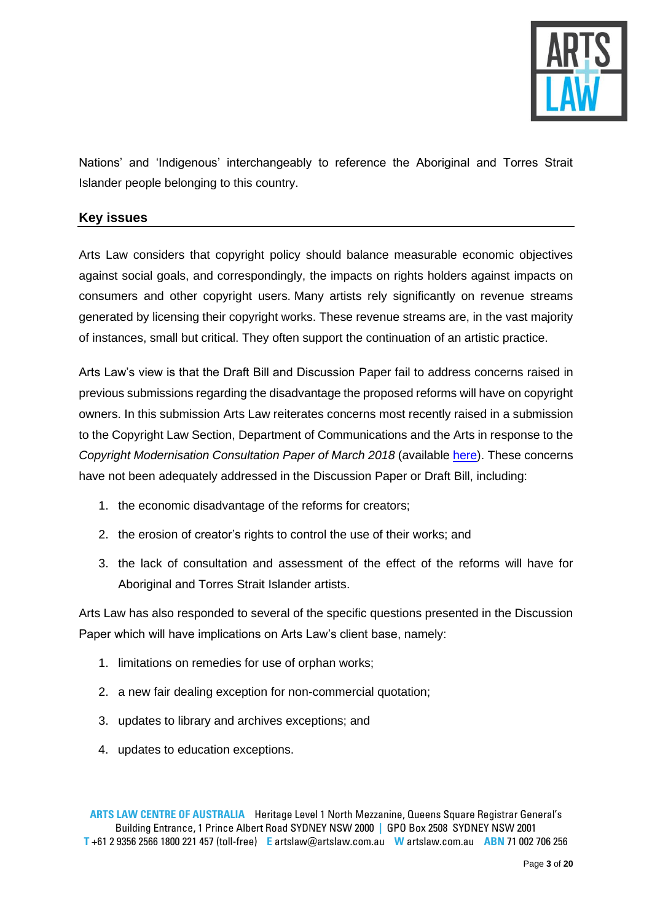

Nations' and 'Indigenous' interchangeably to reference the Aboriginal and Torres Strait Islander people belonging to this country.

# <span id="page-2-0"></span>**Key issues**

Arts Law considers that copyright policy should balance measurable economic objectives against social goals, and correspondingly, the impacts on rights holders against impacts on consumers and other copyright users. Many artists rely significantly on revenue streams generated by licensing their copyright works. These revenue streams are, in the vast majority of instances, small but critical. They often support the continuation of an artistic practice.

Arts Law's view is that the Draft Bill and Discussion Paper fail to address concerns raised in previous submissions regarding the disadvantage the proposed reforms will have on copyright owners. In this submission Arts Law reiterates concerns most recently raised in a submission to the Copyright Law Section, Department of Communications and the Arts in response to the *Copyright Modernisation Consultation Paper of March 2018* (available [here\)](https://www.infrastructure.gov.au/sites/default/files/submissions/arts_law_centre_of_australia.pdf). These concerns have not been adequately addressed in the Discussion Paper or Draft Bill, including:

- 1. the economic disadvantage of the reforms for creators;
- 2. the erosion of creator's rights to control the use of their works; and
- 3. the lack of consultation and assessment of the effect of the reforms will have for Aboriginal and Torres Strait Islander artists.

Arts Law has also responded to several of the specific questions presented in the Discussion Paper which will have implications on Arts Law's client base, namely:

- 1. limitations on remedies for use of orphan works;
- 2. a new fair dealing exception for non-commercial quotation;
- 3. updates to library and archives exceptions; and
- 4. updates to education exceptions.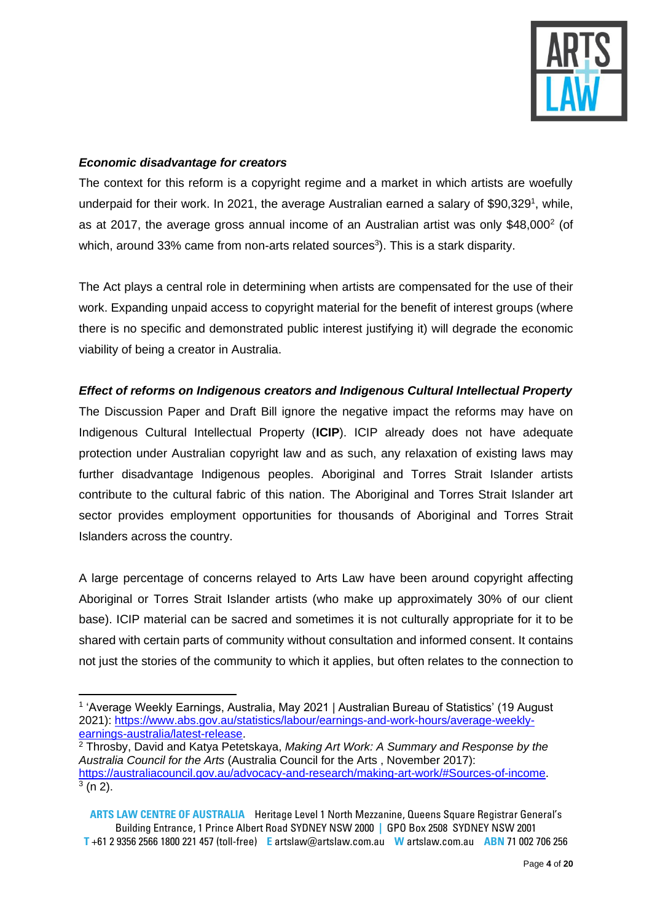

### *Economic disadvantage for creators*

The context for this reform is a copyright regime and a market in which artists are woefully underpaid for their work. In 2021, the average Australian earned a salary of \$90,329<sup>1</sup>, while, as at 2017, the average gross annual income of an Australian artist was only \$48,000 $^2$  (of which, around 33% came from non-arts related sources<sup>3</sup>). This is a stark disparity.

The Act plays a central role in determining when artists are compensated for the use of their work. Expanding unpaid access to copyright material for the benefit of interest groups (where there is no specific and demonstrated public interest justifying it) will degrade the economic viability of being a creator in Australia.

# *Effect of reforms on Indigenous creators and Indigenous Cultural Intellectual Property*

The Discussion Paper and Draft Bill ignore the negative impact the reforms may have on Indigenous Cultural Intellectual Property (**ICIP**). ICIP already does not have adequate protection under Australian copyright law and as such, any relaxation of existing laws may further disadvantage Indigenous peoples. Aboriginal and Torres Strait Islander artists contribute to the cultural fabric of this nation. The Aboriginal and Torres Strait Islander art sector provides employment opportunities for thousands of Aboriginal and Torres Strait Islanders across the country.

A large percentage of concerns relayed to Arts Law have been around copyright affecting Aboriginal or Torres Strait Islander artists (who make up approximately 30% of our client base). ICIP material can be sacred and sometimes it is not culturally appropriate for it to be shared with certain parts of community without consultation and informed consent. It contains not just the stories of the community to which it applies, but often relates to the connection to

<sup>1</sup> 'Average Weekly Earnings, Australia, May 2021 | Australian Bureau of Statistics' (19 August 2021): [https://www.abs.gov.au/statistics/labour/earnings-and-work-hours/average-weekly](https://www.abs.gov.au/statistics/labour/earnings-and-work-hours/average-weekly-earnings-australia/latest-release)[earnings-australia/latest-release.](https://www.abs.gov.au/statistics/labour/earnings-and-work-hours/average-weekly-earnings-australia/latest-release)

<sup>2</sup> Throsby, David and Katya Petetskaya, *Making Art Work: A Summary and Response by the Australia Council for the Arts* (Australia Council for the Arts , November 2017): [https://australiacouncil.gov.au/advocacy-and-research/making-art-work/#Sources-of-income.](https://australiacouncil.gov.au/advocacy-and-research/making-art-work/#Sources-of-income)  $3$  (n 2).

**ARTS LAW CENTRE OF AUSTRALIA** Heritage Level 1 North Mezzanine, Queens Square Registrar General's Building Entrance, 1 Prince Albert Road SYDNEY NSW 2000 **|** GPO Box 2508 SYDNEY NSW 2001 **T** +61 2 9356 2566 1800 221 457 (toll-free) **E** artslaw@artslaw.com.au **W** artslaw.com.au **ABN** 71 002 706 256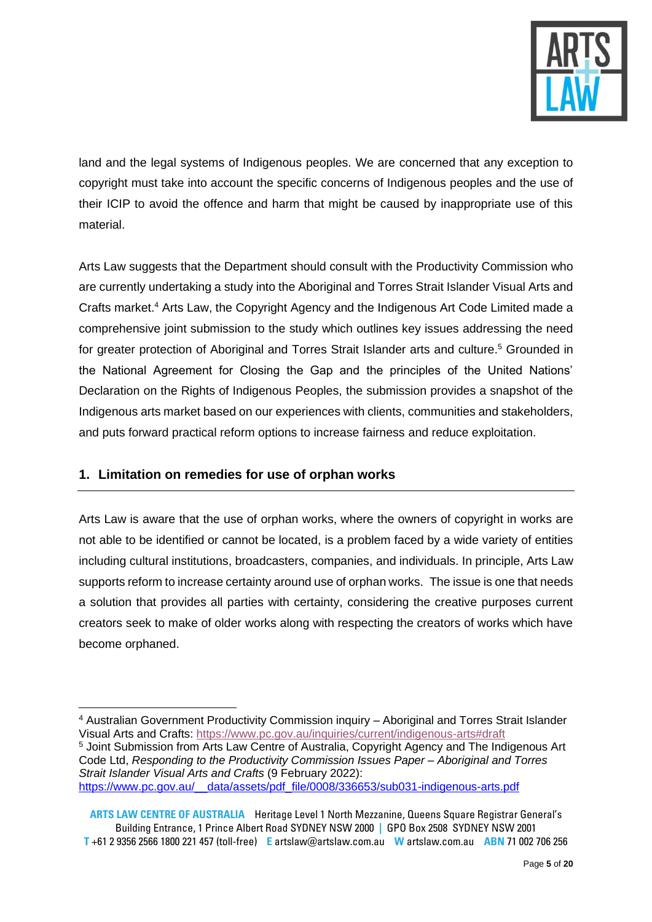

land and the legal systems of Indigenous peoples. We are concerned that any exception to copyright must take into account the specific concerns of Indigenous peoples and the use of their ICIP to avoid the offence and harm that might be caused by inappropriate use of this material.

Arts Law suggests that the Department should consult with the Productivity Commission who are currently undertaking a study into the Aboriginal and Torres Strait Islander Visual Arts and Crafts market. <sup>4</sup> Arts Law, the Copyright Agency and the Indigenous Art Code Limited made a comprehensive joint submission to the study which outlines key issues addressing the need for greater protection of Aboriginal and Torres Strait Islander arts and culture.<sup>5</sup> Grounded in the National Agreement for Closing the Gap and the principles of the United Nations' Declaration on the Rights of Indigenous Peoples, the submission provides a snapshot of the Indigenous arts market based on our experiences with clients, communities and stakeholders, and puts forward practical reform options to increase fairness and reduce exploitation.

# <span id="page-4-0"></span>**1. Limitation on remedies for use of orphan works**

Arts Law is aware that the use of orphan works, where the owners of copyright in works are not able to be identified or cannot be located, is a problem faced by a wide variety of entities including cultural institutions, broadcasters, companies, and individuals. In principle, Arts Law supports reform to increase certainty around use of orphan works. The issue is one that needs a solution that provides all parties with certainty, considering the creative purposes current creators seek to make of older works along with respecting the creators of works which have become orphaned.

<sup>4</sup> Australian Government Productivity Commission inquiry – Aboriginal and Torres Strait Islander Visual Arts and Crafts: <https://www.pc.gov.au/inquiries/current/indigenous-arts#draft>

<sup>5</sup> Joint Submission from Arts Law Centre of Australia, Copyright Agency and The Indigenous Art Code Ltd, *Responding to the Productivity Commission Issues Paper – Aboriginal and Torres Strait Islander Visual Arts and Crafts* (9 February 2022): https://www.pc.gov.au/ data/assets/pdf file/0008/336653/sub031-indigenous-arts.pdf

**ARTS LAW CENTRE OF AUSTRALIA** Heritage Level 1 North Mezzanine, Queens Square Registrar General's Building Entrance, 1 Prince Albert Road SYDNEY NSW 2000 **|** GPO Box 2508 SYDNEY NSW 2001 **T** +61 2 9356 2566 1800 221 457 (toll-free) **E** artslaw@artslaw.com.au **W** artslaw.com.au **ABN** 71 002 706 256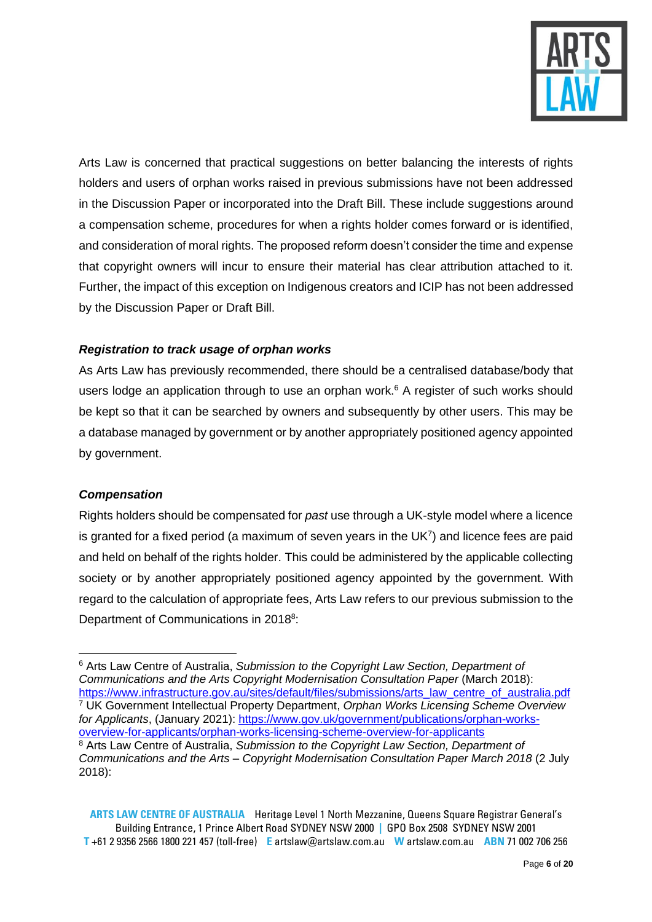

Arts Law is concerned that practical suggestions on better balancing the interests of rights holders and users of orphan works raised in previous submissions have not been addressed in the Discussion Paper or incorporated into the Draft Bill. These include suggestions around a compensation scheme, procedures for when a rights holder comes forward or is identified, and consideration of moral rights. The proposed reform doesn't consider the time and expense that copyright owners will incur to ensure their material has clear attribution attached to it. Further, the impact of this exception on Indigenous creators and ICIP has not been addressed by the Discussion Paper or Draft Bill.

# *Registration to track usage of orphan works*

As Arts Law has previously recommended, there should be a centralised database/body that users lodge an application through to use an orphan work.<sup>6</sup> A register of such works should be kept so that it can be searched by owners and subsequently by other users. This may be a database managed by government or by another appropriately positioned agency appointed by government.

### *Compensation*

Rights holders should be compensated for *past* use through a UK-style model where a licence is granted for a fixed period (a maximum of seven years in the UK $7$ ) and licence fees are paid and held on behalf of the rights holder. This could be administered by the applicable collecting society or by another appropriately positioned agency appointed by the government. With regard to the calculation of appropriate fees, Arts Law refers to our previous submission to the Department of Communications in 2018<sup>8</sup>:

<sup>6</sup> Arts Law Centre of Australia, *Submission to the Copyright Law Section, Department of Communications and the Arts Copyright Modernisation Consultation Paper* (March 2018): [https://www.infrastructure.gov.au/sites/default/files/submissions/arts\\_law\\_centre\\_of\\_australia.pdf](https://www.infrastructure.gov.au/sites/default/files/submissions/arts_law_centre_of_australia.pdf) <sup>7</sup> UK Government Intellectual Property Department, *Orphan Works Licensing Scheme Overview for Applicants*, (January 2021): [https://www.gov.uk/government/publications/orphan-works](https://www.gov.uk/government/publications/orphan-works-overview-for-applicants/orphan-works-licensing-scheme-overview-for-applicants)[overview-for-applicants/orphan-works-licensing-scheme-overview-for-applicants](https://www.gov.uk/government/publications/orphan-works-overview-for-applicants/orphan-works-licensing-scheme-overview-for-applicants) <sup>8</sup> Arts Law Centre of Australia, *Submission to the Copyright Law Section, Department of Communications and the Arts – Copyright Modernisation Consultation Paper March 2018* (2 July 2018):

**ARTS LAW CENTRE OF AUSTRALIA** Heritage Level 1 North Mezzanine, Queens Square Registrar General's Building Entrance, 1 Prince Albert Road SYDNEY NSW 2000 **|** GPO Box 2508 SYDNEY NSW 2001 **T** +61 2 9356 2566 1800 221 457 (toll-free) **E** artslaw@artslaw.com.au **W** artslaw.com.au **ABN** 71 002 706 256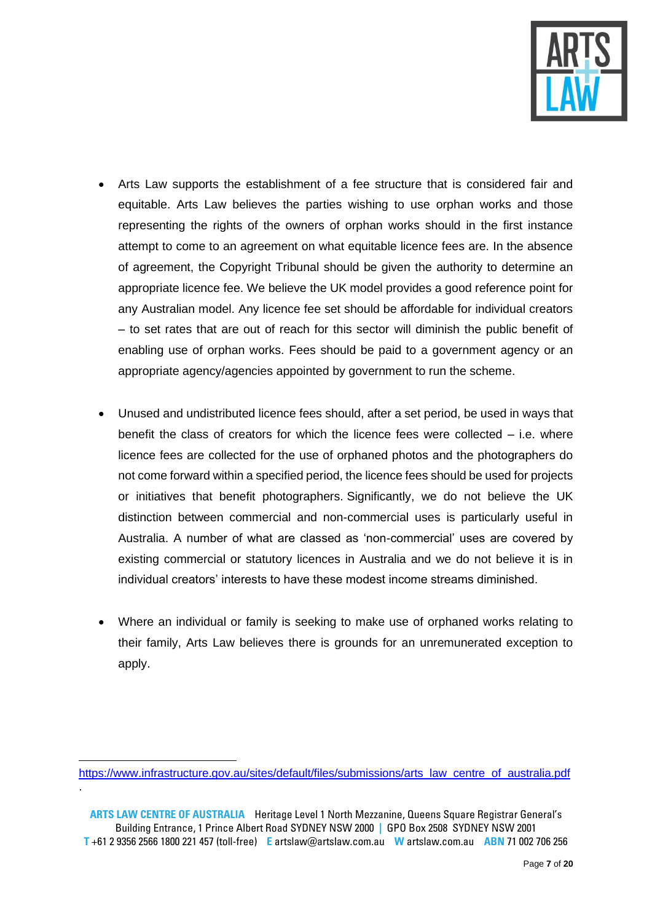

- Arts Law supports the establishment of a fee structure that is considered fair and equitable. Arts Law believes the parties wishing to use orphan works and those representing the rights of the owners of orphan works should in the first instance attempt to come to an agreement on what equitable licence fees are. In the absence of agreement, the Copyright Tribunal should be given the authority to determine an appropriate licence fee. We believe the UK model provides a good reference point for any Australian model. Any licence fee set should be affordable for individual creators – to set rates that are out of reach for this sector will diminish the public benefit of enabling use of orphan works. Fees should be paid to a government agency or an appropriate agency/agencies appointed by government to run the scheme.
- Unused and undistributed licence fees should, after a set period, be used in ways that benefit the class of creators for which the licence fees were collected – i.e. where licence fees are collected for the use of orphaned photos and the photographers do not come forward within a specified period, the licence fees should be used for projects or initiatives that benefit photographers. Significantly, we do not believe the UK distinction between commercial and non-commercial uses is particularly useful in Australia. A number of what are classed as 'non-commercial' uses are covered by existing commercial or statutory licences in Australia and we do not believe it is in individual creators' interests to have these modest income streams diminished.
- Where an individual or family is seeking to make use of orphaned works relating to their family, Arts Law believes there is grounds for an unremunerated exception to apply.

.

**ARTS LAW CENTRE OF AUSTRALIA** Heritage Level 1 North Mezzanine, Queens Square Registrar General's Building Entrance, 1 Prince Albert Road SYDNEY NSW 2000 **|** GPO Box 2508 SYDNEY NSW 2001 **T** +61 2 9356 2566 1800 221 457 (toll-free) **E** artslaw@artslaw.com.au **W** artslaw.com.au **ABN** 71 002 706 256

[https://www.infrastructure.gov.au/sites/default/files/submissions/arts\\_law\\_centre\\_of\\_australia.pdf](https://www.infrastructure.gov.au/sites/default/files/submissions/arts_law_centre_of_australia.pdf)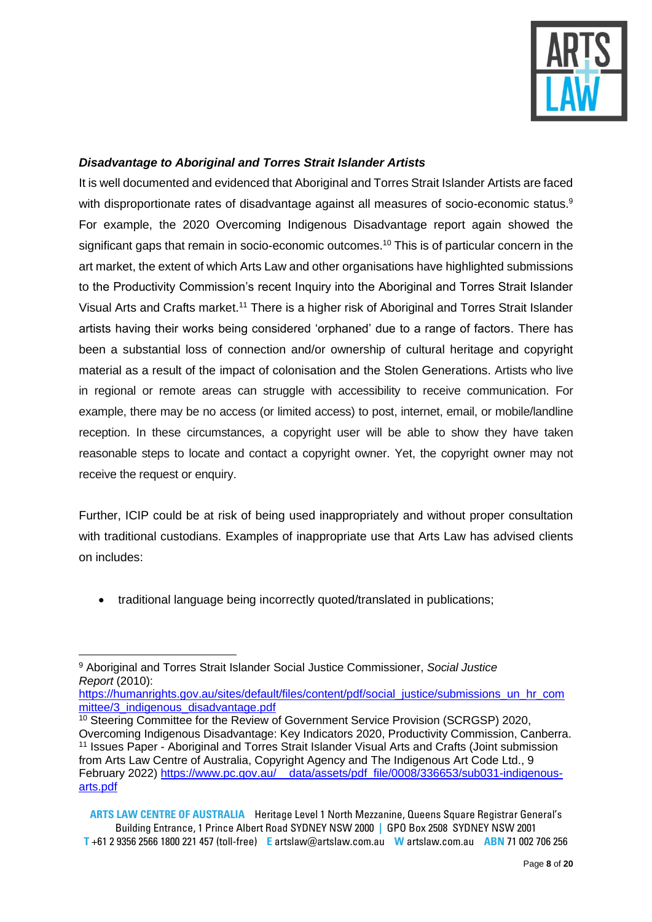

# *Disadvantage to Aboriginal and Torres Strait Islander Artists*

It is well documented and evidenced that Aboriginal and Torres Strait Islander Artists are faced with disproportionate rates of disadvantage against all measures of socio-economic status.<sup>9</sup> For example, the 2020 Overcoming Indigenous Disadvantage report again showed the significant gaps that remain in socio-economic outcomes.<sup>10</sup> This is of particular concern in the art market, the extent of which Arts Law and other organisations have highlighted submissions to the Productivity Commission's recent Inquiry into the Aboriginal and Torres Strait Islander Visual Arts and Crafts market. <sup>11</sup> There is a higher risk of Aboriginal and Torres Strait Islander artists having their works being considered 'orphaned' due to a range of factors. There has been a substantial loss of connection and/or ownership of cultural heritage and copyright material as a result of the impact of colonisation and the Stolen Generations. Artists who live in regional or remote areas can struggle with accessibility to receive communication. For example, there may be no access (or limited access) to post, internet, email, or mobile/landline reception. In these circumstances, a copyright user will be able to show they have taken reasonable steps to locate and contact a copyright owner. Yet, the copyright owner may not receive the request or enquiry.

Further, ICIP could be at risk of being used inappropriately and without proper consultation with traditional custodians. Examples of inappropriate use that Arts Law has advised clients on includes:

• traditional language being incorrectly quoted/translated in publications:

<sup>9</sup> Aboriginal and Torres Strait Islander Social Justice Commissioner, *Social Justice Report* (2010):

[https://humanrights.gov.au/sites/default/files/content/pdf/social\\_justice/submissions\\_un\\_hr\\_com](https://humanrights.gov.au/sites/default/files/content/pdf/social_justice/submissions_un_hr_committee/3_indigenous_disadvantage.pdf) [mittee/3\\_indigenous\\_disadvantage.pdf](https://humanrights.gov.au/sites/default/files/content/pdf/social_justice/submissions_un_hr_committee/3_indigenous_disadvantage.pdf)

<sup>&</sup>lt;sup>10</sup> Steering Committee for the Review of Government Service Provision (SCRGSP) 2020, Overcoming Indigenous Disadvantage: Key Indicators 2020, Productivity Commission, Canberra. <sup>11</sup> Issues Paper - Aboriginal and Torres Strait Islander Visual Arts and Crafts (Joint submission from Arts Law Centre of Australia, Copyright Agency and The Indigenous Art Code Ltd., 9 February 2022) https://www.pc.gov.au/ data/assets/pdf file/0008/336653/sub031-indigenous[arts.pdf](https://www.pc.gov.au/__data/assets/pdf_file/0008/336653/sub031-indigenous-arts.pdf)

**ARTS LAW CENTRE OF AUSTRALIA** Heritage Level 1 North Mezzanine, Queens Square Registrar General's Building Entrance, 1 Prince Albert Road SYDNEY NSW 2000 **|** GPO Box 2508 SYDNEY NSW 2001 **T** +61 2 9356 2566 1800 221 457 (toll-free) **E** artslaw@artslaw.com.au **W** artslaw.com.au **ABN** 71 002 706 256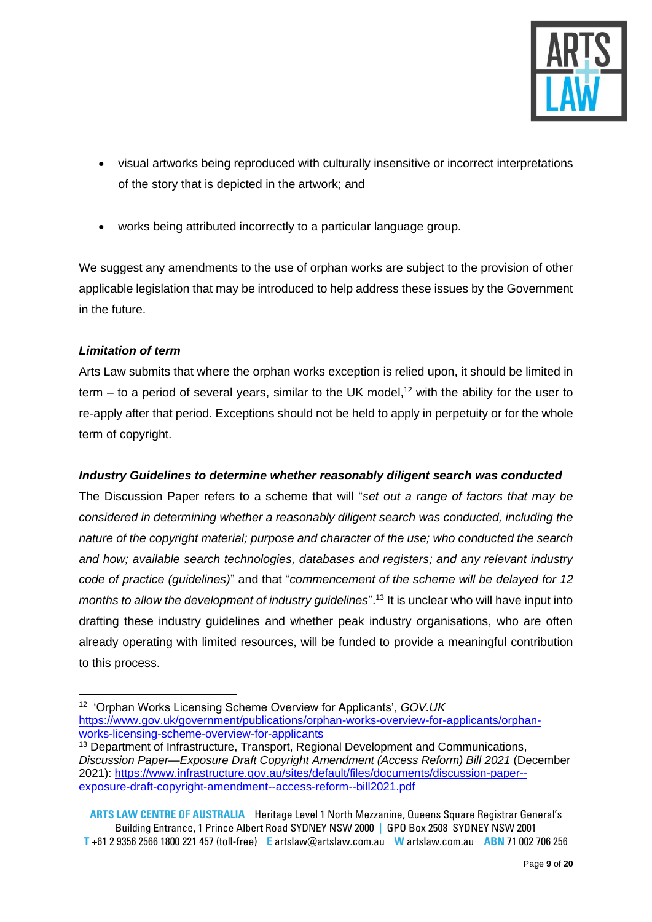

- visual artworks being reproduced with culturally insensitive or incorrect interpretations of the story that is depicted in the artwork; and
- works being attributed incorrectly to a particular language group.

We suggest any amendments to the use of orphan works are subject to the provision of other applicable legislation that may be introduced to help address these issues by the Government in the future.

# *Limitation of term*

Arts Law submits that where the orphan works exception is relied upon, it should be limited in term  $-$  to a period of several years, similar to the UK model,<sup>12</sup> with the ability for the user to re-apply after that period. Exceptions should not be held to apply in perpetuity or for the whole term of copyright.

# *Industry Guidelines to determine whether reasonably diligent search was conducted*

The Discussion Paper refers to a scheme that will "*set out a range of factors that may be considered in determining whether a reasonably diligent search was conducted, including the nature of the copyright material; purpose and character of the use; who conducted the search and how; available search technologies, databases and registers; and any relevant industry code of practice (guidelines)*" and that "*commencement of the scheme will be delayed for 12 months to allow the development of industry guidelines*". <sup>13</sup> It is unclear who will have input into drafting these industry guidelines and whether peak industry organisations, who are often already operating with limited resources, will be funded to provide a meaningful contribution to this process.

- <sup>12</sup> 'Orphan Works Licensing Scheme Overview for Applicants', *GOV.UK* [https://www.gov.uk/government/publications/orphan-works-overview-for-applicants/orphan](https://www.gov.uk/government/publications/orphan-works-overview-for-applicants/orphan-works-licensing-scheme-overview-for-applicants)[works-licensing-scheme-overview-for-applicants](https://www.gov.uk/government/publications/orphan-works-overview-for-applicants/orphan-works-licensing-scheme-overview-for-applicants)
- <sup>13</sup> Department of Infrastructure, Transport, Regional Development and Communications, *Discussion Paper—Exposure Draft Copyright Amendment (Access Reform) Bill 2021* (December 2021): [https://www.infrastructure.gov.au/sites/default/files/documents/discussion-paper-](https://www.infrastructure.gov.au/sites/default/files/documents/discussion-paper--exposure-draft-copyright-amendment--access-reform--bill2021.pdf) [exposure-draft-copyright-amendment--access-reform--bill2021.pdf](https://www.infrastructure.gov.au/sites/default/files/documents/discussion-paper--exposure-draft-copyright-amendment--access-reform--bill2021.pdf)

**ARTS LAW CENTRE OF AUSTRALIA** Heritage Level 1 North Mezzanine, Queens Square Registrar General's Building Entrance, 1 Prince Albert Road SYDNEY NSW 2000 **|** GPO Box 2508 SYDNEY NSW 2001 **T** +61 2 9356 2566 1800 221 457 (toll-free) **E** artslaw@artslaw.com.au **W** artslaw.com.au **ABN** 71 002 706 256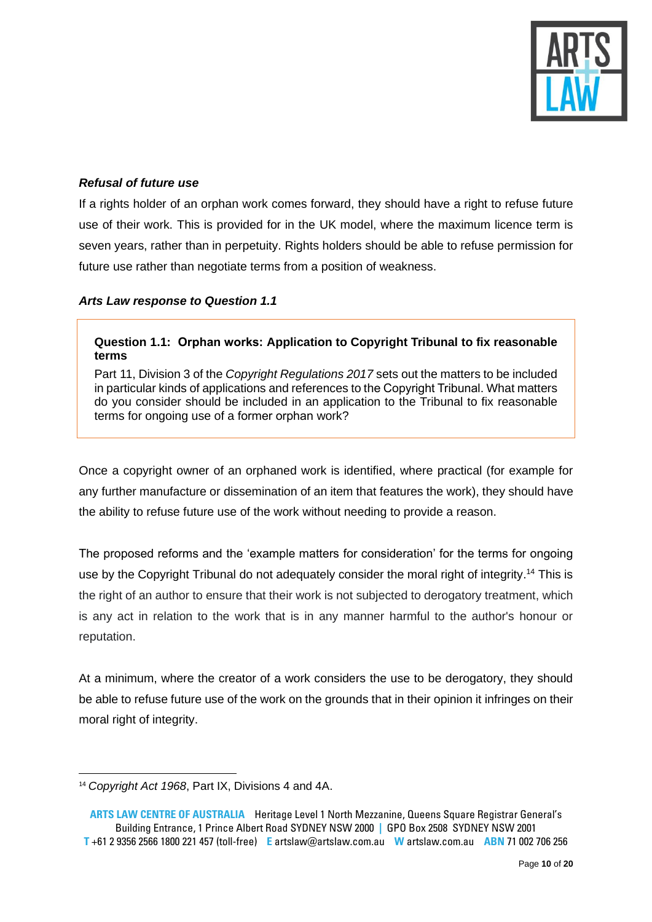

### *Refusal of future use*

If a rights holder of an orphan work comes forward, they should have a right to refuse future use of their work. This is provided for in the UK model, where the maximum licence term is seven years, rather than in perpetuity. Rights holders should be able to refuse permission for future use rather than negotiate terms from a position of weakness.

#### *Arts Law response to Question 1.1*

### **Question 1.1: Orphan works: Application to Copyright Tribunal to fix reasonable terms**

Part 11, Division 3 of the *Copyright Regulations 2017* sets out the matters to be included in particular kinds of applications and references to the Copyright Tribunal. What matters do you consider should be included in an application to the Tribunal to fix reasonable terms for ongoing use of a former orphan work?

Once a copyright owner of an orphaned work is identified, where practical (for example for any further manufacture or dissemination of an item that features the work), they should have the ability to refuse future use of the work without needing to provide a reason.

The proposed reforms and the 'example matters for consideration' for the terms for ongoing use by the Copyright Tribunal do not adequately consider the moral right of integrity.<sup>14</sup> This is the right of an author to ensure that their work is not subjected to derogatory treatment, which is any act in relation to the work that is in any manner harmful to the author's honour or reputation.

At a minimum, where the creator of a work considers the use to be derogatory, they should be able to refuse future use of the work on the grounds that in their opinion it infringes on their moral right of integrity.

<sup>14</sup> *Copyright Act 1968*, Part IX, Divisions 4 and 4A.

**ARTS LAW CENTRE OF AUSTRALIA** Heritage Level 1 North Mezzanine, Queens Square Registrar General's Building Entrance, 1 Prince Albert Road SYDNEY NSW 2000 **|** GPO Box 2508 SYDNEY NSW 2001 **T** +61 2 9356 2566 1800 221 457 (toll-free) **E** artslaw@artslaw.com.au **W** artslaw.com.au **ABN** 71 002 706 256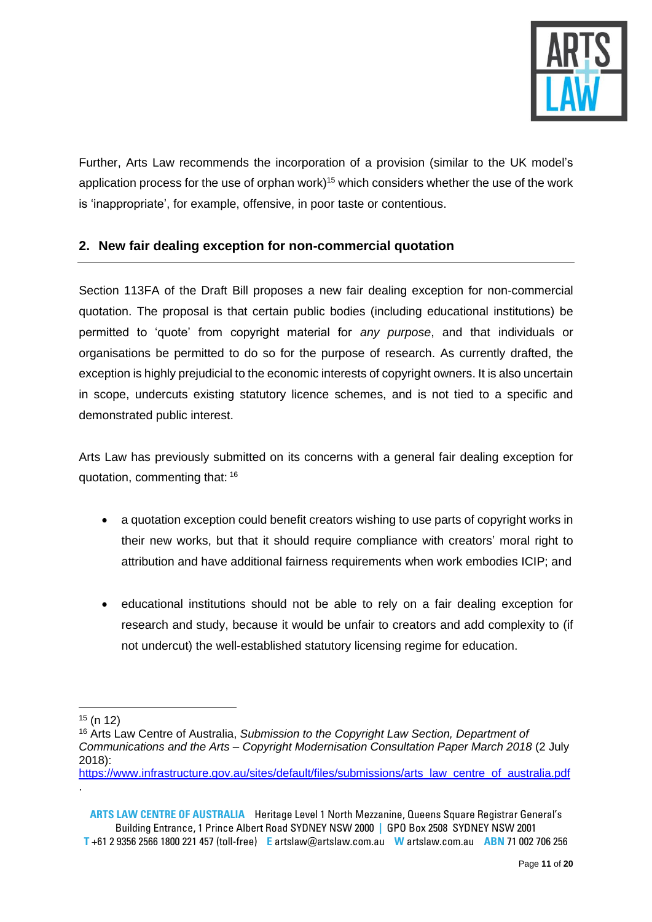

Further, Arts Law recommends the incorporation of a provision (similar to the UK model's application process for the use of orphan work)<sup>15</sup> which considers whether the use of the work is 'inappropriate', for example, offensive, in poor taste or contentious.

# <span id="page-10-0"></span>**2. New fair dealing exception for non-commercial quotation**

Section 113FA of the Draft Bill proposes a new fair dealing exception for non-commercial quotation. The proposal is that certain public bodies (including educational institutions) be permitted to 'quote' from copyright material for *any purpose*, and that individuals or organisations be permitted to do so for the purpose of research. As currently drafted, the exception is highly prejudicial to the economic interests of copyright owners. It is also uncertain in scope, undercuts existing statutory licence schemes, and is not tied to a specific and demonstrated public interest.

Arts Law has previously submitted on its concerns with a general fair dealing exception for quotation, commenting that: <sup>16</sup>

- a quotation exception could benefit creators wishing to use parts of copyright works in their new works, but that it should require compliance with creators' moral right to attribution and have additional fairness requirements when work embodies ICIP; and
- educational institutions should not be able to rely on a fair dealing exception for research and study, because it would be unfair to creators and add complexity to (if not undercut) the well-established statutory licensing regime for education.

[https://www.infrastructure.gov.au/sites/default/files/submissions/arts\\_law\\_centre\\_of\\_australia.pdf](https://www.infrastructure.gov.au/sites/default/files/submissions/arts_law_centre_of_australia.pdf) .

**ARTS LAW CENTRE OF AUSTRALIA** Heritage Level 1 North Mezzanine, Queens Square Registrar General's Building Entrance, 1 Prince Albert Road SYDNEY NSW 2000 **|** GPO Box 2508 SYDNEY NSW 2001 **T** +61 2 9356 2566 1800 221 457 (toll-free) **E** artslaw@artslaw.com.au **W** artslaw.com.au **ABN** 71 002 706 256

<sup>15</sup> (n 12)

<sup>16</sup> Arts Law Centre of Australia, *Submission to the Copyright Law Section, Department of Communications and the Arts – Copyright Modernisation Consultation Paper March 2018* (2 July 2018):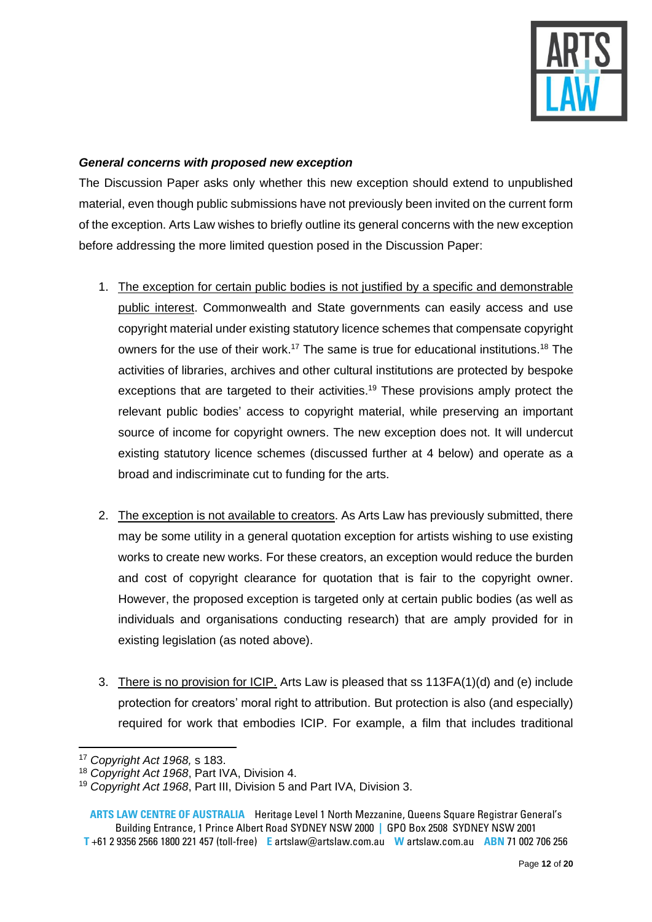

# *General concerns with proposed new exception*

The Discussion Paper asks only whether this new exception should extend to unpublished material, even though public submissions have not previously been invited on the current form of the exception. Arts Law wishes to briefly outline its general concerns with the new exception before addressing the more limited question posed in the Discussion Paper:

- 1. The exception for certain public bodies is not justified by a specific and demonstrable public interest. Commonwealth and State governments can easily access and use copyright material under existing statutory licence schemes that compensate copyright owners for the use of their work.<sup>17</sup> The same is true for educational institutions.<sup>18</sup> The activities of libraries, archives and other cultural institutions are protected by bespoke exceptions that are targeted to their activities.<sup>19</sup> These provisions amply protect the relevant public bodies' access to copyright material, while preserving an important source of income for copyright owners. The new exception does not. It will undercut existing statutory licence schemes (discussed further at 4 below) and operate as a broad and indiscriminate cut to funding for the arts.
- 2. The exception is not available to creators. As Arts Law has previously submitted, there may be some utility in a general quotation exception for artists wishing to use existing works to create new works. For these creators, an exception would reduce the burden and cost of copyright clearance for quotation that is fair to the copyright owner. However, the proposed exception is targeted only at certain public bodies (as well as individuals and organisations conducting research) that are amply provided for in existing legislation (as noted above).
- 3. There is no provision for ICIP. Arts Law is pleased that ss 113FA(1)(d) and (e) include protection for creators' moral right to attribution. But protection is also (and especially) required for work that embodies ICIP. For example, a film that includes traditional

<sup>17</sup> *Copyright Act 1968,* s 183.

<sup>18</sup> *Copyright Act 1968*, Part IVA, Division 4.

<sup>19</sup> *Copyright Act 1968*, Part III, Division 5 and Part IVA, Division 3.

**ARTS LAW CENTRE OF AUSTRALIA** Heritage Level 1 North Mezzanine, Queens Square Registrar General's Building Entrance, 1 Prince Albert Road SYDNEY NSW 2000 **|** GPO Box 2508 SYDNEY NSW 2001 **T** +61 2 9356 2566 1800 221 457 (toll-free) **E** artslaw@artslaw.com.au **W** artslaw.com.au **ABN** 71 002 706 256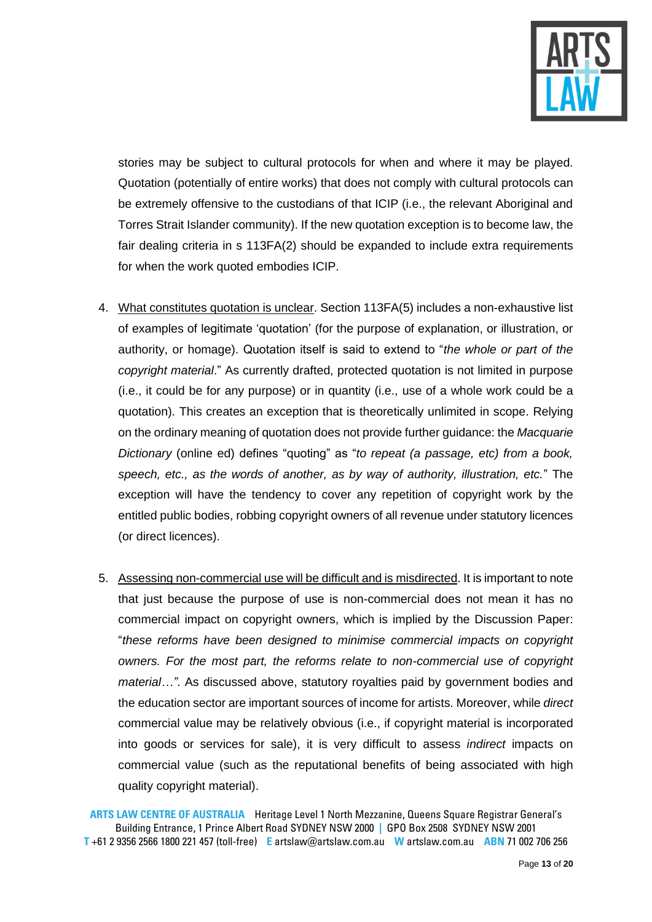

stories may be subject to cultural protocols for when and where it may be played. Quotation (potentially of entire works) that does not comply with cultural protocols can be extremely offensive to the custodians of that ICIP (i.e., the relevant Aboriginal and Torres Strait Islander community). If the new quotation exception is to become law, the fair dealing criteria in s 113FA(2) should be expanded to include extra requirements for when the work quoted embodies ICIP.

- 4. What constitutes quotation is unclear. Section 113FA(5) includes a non-exhaustive list of examples of legitimate 'quotation' (for the purpose of explanation, or illustration, or authority, or homage). Quotation itself is said to extend to "*the whole or part of the copyright material*." As currently drafted, protected quotation is not limited in purpose (i.e., it could be for any purpose) or in quantity (i.e., use of a whole work could be a quotation). This creates an exception that is theoretically unlimited in scope. Relying on the ordinary meaning of quotation does not provide further guidance: the *Macquarie Dictionary* (online ed) defines "quoting" as "*to repeat (a passage, etc) from a book, speech, etc., as the words of another, as by way of authority, illustration, etc.*" The exception will have the tendency to cover any repetition of copyright work by the entitled public bodies, robbing copyright owners of all revenue under statutory licences (or direct licences).
- 5. Assessing non-commercial use will be difficult and is misdirected. It is important to note that just because the purpose of use is non-commercial does not mean it has no commercial impact on copyright owners, which is implied by the Discussion Paper: "*these reforms have been designed to minimise commercial impacts on copyright owners. For the most part, the reforms relate to non-commercial use of copyright material…"*. As discussed above, statutory royalties paid by government bodies and the education sector are important sources of income for artists. Moreover, while *direct* commercial value may be relatively obvious (i.e., if copyright material is incorporated into goods or services for sale), it is very difficult to assess *indirect* impacts on commercial value (such as the reputational benefits of being associated with high quality copyright material).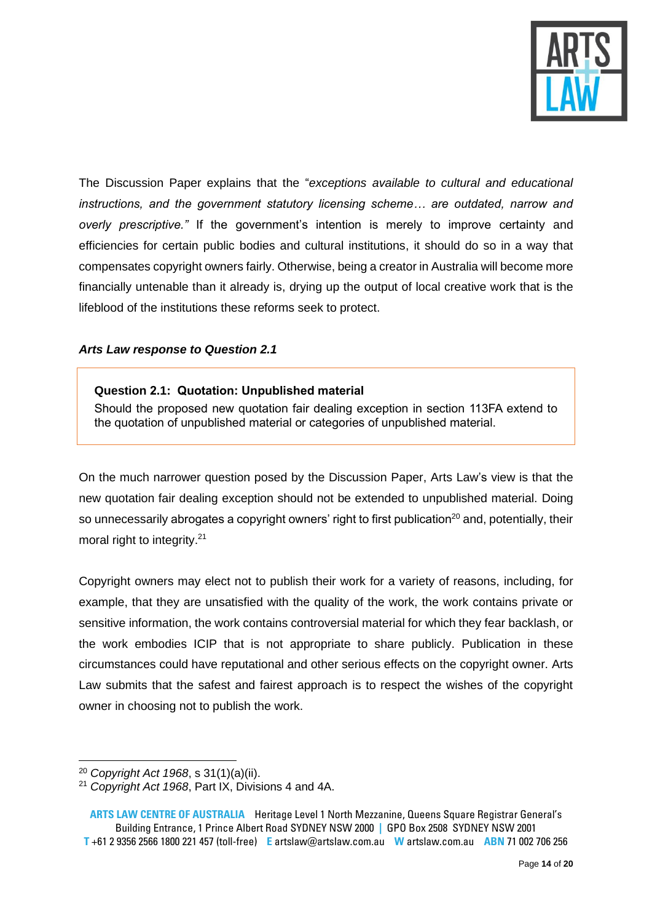

The Discussion Paper explains that the "*exceptions available to cultural and educational instructions, and the government statutory licensing scheme… are outdated, narrow and overly prescriptive."* If the government's intention is merely to improve certainty and efficiencies for certain public bodies and cultural institutions, it should do so in a way that compensates copyright owners fairly. Otherwise, being a creator in Australia will become more financially untenable than it already is, drying up the output of local creative work that is the lifeblood of the institutions these reforms seek to protect.

### *Arts Law response to Question 2.1*

#### **Question 2.1: Quotation: Unpublished material**

Should the proposed new quotation fair dealing exception in section 113FA extend to the quotation of unpublished material or categories of unpublished material.

On the much narrower question posed by the Discussion Paper, Arts Law's view is that the new quotation fair dealing exception should not be extended to unpublished material. Doing so unnecessarily abrogates a copyright owners' right to first publication<sup>20</sup> and, potentially, their moral right to integrity.<sup>21</sup>

Copyright owners may elect not to publish their work for a variety of reasons, including, for example, that they are unsatisfied with the quality of the work, the work contains private or sensitive information, the work contains controversial material for which they fear backlash, or the work embodies ICIP that is not appropriate to share publicly. Publication in these circumstances could have reputational and other serious effects on the copyright owner. Arts Law submits that the safest and fairest approach is to respect the wishes of the copyright owner in choosing not to publish the work.

<sup>20</sup> *Copyright Act 1968*, s 31(1)(a)(ii).

<sup>21</sup> *Copyright Act 1968*, Part IX, Divisions 4 and 4A.

**ARTS LAW CENTRE OF AUSTRALIA** Heritage Level 1 North Mezzanine, Queens Square Registrar General's Building Entrance, 1 Prince Albert Road SYDNEY NSW 2000 **|** GPO Box 2508 SYDNEY NSW 2001 **T** +61 2 9356 2566 1800 221 457 (toll-free) **E** artslaw@artslaw.com.au **W** artslaw.com.au **ABN** 71 002 706 256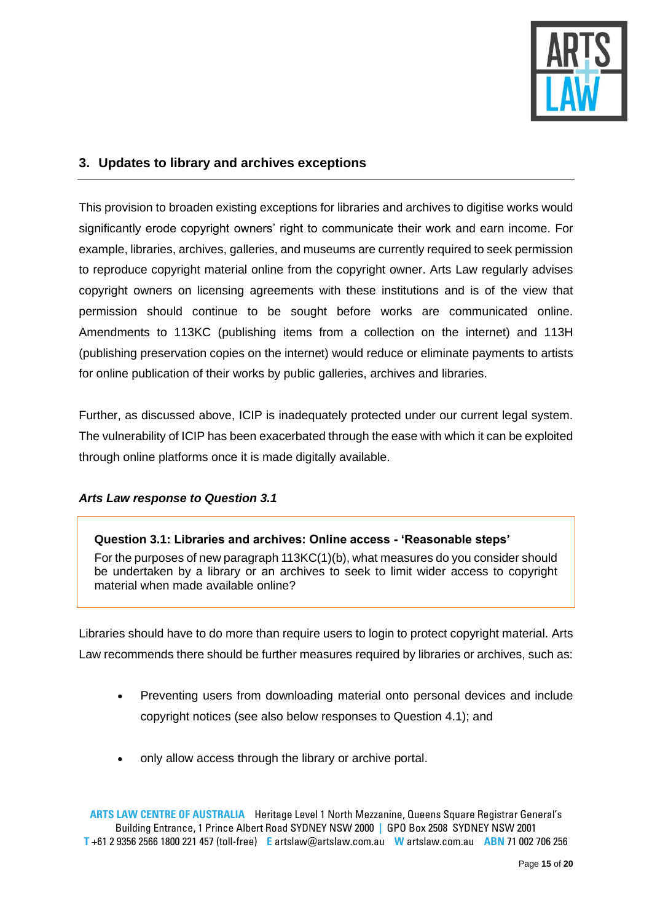

# <span id="page-14-0"></span>**3. Updates to library and archives exceptions**

This provision to broaden existing exceptions for libraries and archives to digitise works would significantly erode copyright owners' right to communicate their work and earn income. For example, libraries, archives, galleries, and museums are currently required to seek permission to reproduce copyright material online from the copyright owner. Arts Law regularly advises copyright owners on licensing agreements with these institutions and is of the view that permission should continue to be sought before works are communicated online. Amendments to 113KC (publishing items from a collection on the internet) and 113H (publishing preservation copies on the internet) would reduce or eliminate payments to artists for online publication of their works by public galleries, archives and libraries.

Further, as discussed above, ICIP is inadequately protected under our current legal system. The vulnerability of ICIP has been exacerbated through the ease with which it can be exploited through online platforms once it is made digitally available.

### *Arts Law response to Question 3.1*

**Question 3.1: Libraries and archives: Online access - 'Reasonable steps'** For the purposes of new paragraph 113KC(1)(b), what measures do you consider should be undertaken by a library or an archives to seek to limit wider access to copyright material when made available online?

Libraries should have to do more than require users to login to protect copyright material. Arts Law recommends there should be further measures required by libraries or archives, such as:

- Preventing users from downloading material onto personal devices and include copyright notices (see also below responses to Question 4.1); and
- only allow access through the library or archive portal.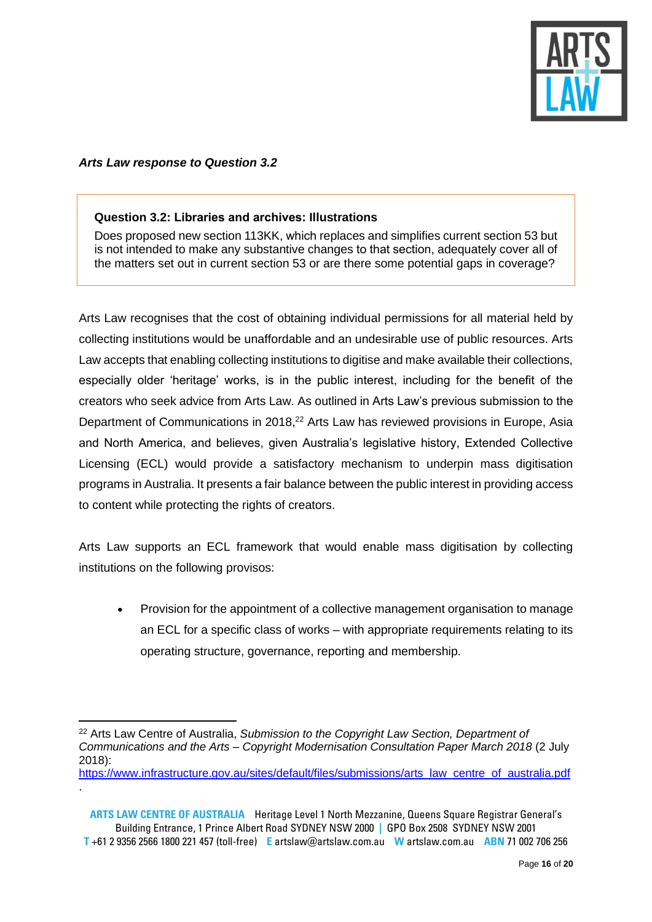

### *Arts Law response to Question 3.2*

#### **Question 3.2: Libraries and archives: Illustrations**

Does proposed new section 113KK, which replaces and simplifies current section 53 but is not intended to make any substantive changes to that section, adequately cover all of the matters set out in current section 53 or are there some potential gaps in coverage?

Arts Law recognises that the cost of obtaining individual permissions for all material held by collecting institutions would be unaffordable and an undesirable use of public resources. Arts Law accepts that enabling collecting institutions to digitise and make available their collections, especially older 'heritage' works, is in the public interest, including for the benefit of the creators who seek advice from Arts Law. As outlined in Arts Law's previous submission to the Department of Communications in 2018,<sup>22</sup> Arts Law has reviewed provisions in Europe, Asia and North America, and believes, given Australia's legislative history, Extended Collective Licensing (ECL) would provide a satisfactory mechanism to underpin mass digitisation programs in Australia. It presents a fair balance between the public interest in providing access to content while protecting the rights of creators.

Arts Law supports an ECL framework that would enable mass digitisation by collecting institutions on the following provisos:

• Provision for the appointment of a collective management organisation to manage an ECL for a specific class of works – with appropriate requirements relating to its operating structure, governance, reporting and membership.

[https://www.infrastructure.gov.au/sites/default/files/submissions/arts\\_law\\_centre\\_of\\_australia.pdf](https://www.infrastructure.gov.au/sites/default/files/submissions/arts_law_centre_of_australia.pdf) .

<sup>22</sup> Arts Law Centre of Australia, *Submission to the Copyright Law Section, Department of Communications and the Arts – Copyright Modernisation Consultation Paper March 2018* (2 July 2018):

**ARTS LAW CENTRE OF AUSTRALIA** Heritage Level 1 North Mezzanine, Queens Square Registrar General's Building Entrance, 1 Prince Albert Road SYDNEY NSW 2000 **|** GPO Box 2508 SYDNEY NSW 2001 **T** +61 2 9356 2566 1800 221 457 (toll-free) **E** artslaw@artslaw.com.au **W** artslaw.com.au **ABN** 71 002 706 256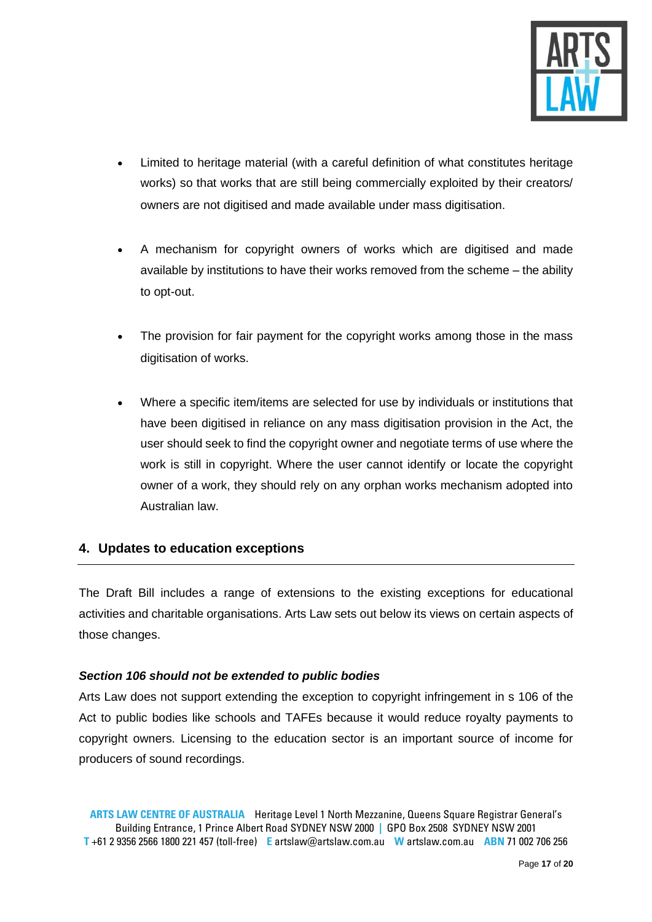

- Limited to heritage material (with a careful definition of what constitutes heritage works) so that works that are still being commercially exploited by their creators/ owners are not digitised and made available under mass digitisation.
- A mechanism for copyright owners of works which are digitised and made available by institutions to have their works removed from the scheme – the ability to opt-out.
- The provision for fair payment for the copyright works among those in the mass digitisation of works.
- Where a specific item/items are selected for use by individuals or institutions that have been digitised in reliance on any mass digitisation provision in the Act, the user should seek to find the copyright owner and negotiate terms of use where the work is still in copyright. Where the user cannot identify or locate the copyright owner of a work, they should rely on any orphan works mechanism adopted into Australian law.

# <span id="page-16-0"></span>**4. Updates to education exceptions**

The Draft Bill includes a range of extensions to the existing exceptions for educational activities and charitable organisations. Arts Law sets out below its views on certain aspects of those changes.

### *Section 106 should not be extended to public bodies*

Arts Law does not support extending the exception to copyright infringement in s 106 of the Act to public bodies like schools and TAFEs because it would reduce royalty payments to copyright owners. Licensing to the education sector is an important source of income for producers of sound recordings.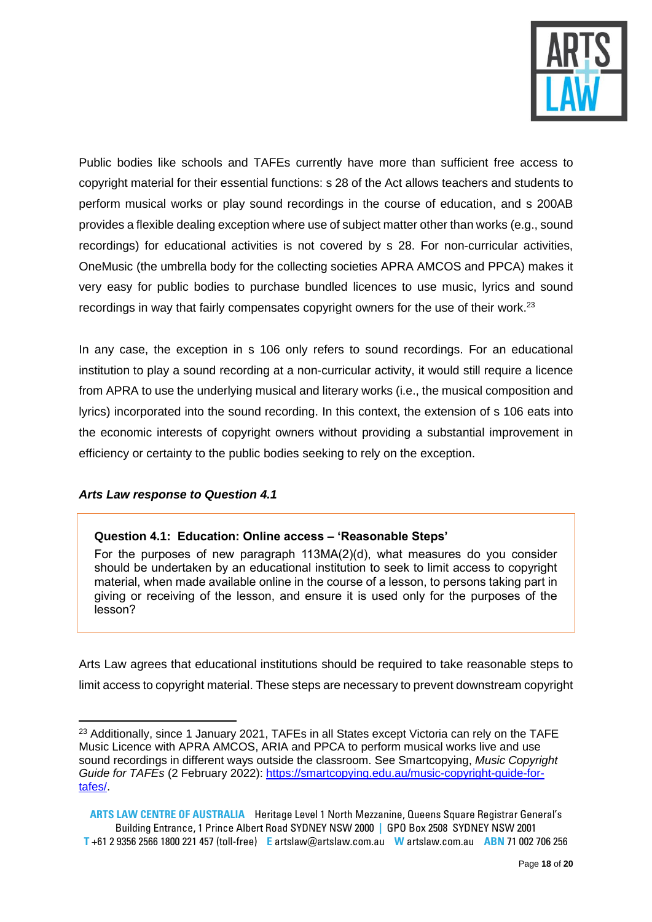

Public bodies like schools and TAFEs currently have more than sufficient free access to copyright material for their essential functions: s 28 of the Act allows teachers and students to perform musical works or play sound recordings in the course of education, and s 200AB provides a flexible dealing exception where use of subject matter other than works (e.g., sound recordings) for educational activities is not covered by s 28. For non-curricular activities, OneMusic (the umbrella body for the collecting societies APRA AMCOS and PPCA) makes it very easy for public bodies to purchase bundled licences to use music, lyrics and sound recordings in way that fairly compensates copyright owners for the use of their work.<sup>23</sup>

In any case, the exception in s 106 only refers to sound recordings. For an educational institution to play a sound recording at a non-curricular activity, it would still require a licence from APRA to use the underlying musical and literary works (i.e., the musical composition and lyrics) incorporated into the sound recording. In this context, the extension of s 106 eats into the economic interests of copyright owners without providing a substantial improvement in efficiency or certainty to the public bodies seeking to rely on the exception.

### *Arts Law response to Question 4.1*

### **Question 4.1: Education: Online access – 'Reasonable Steps'**

For the purposes of new paragraph 113MA(2)(d), what measures do you consider should be undertaken by an educational institution to seek to limit access to copyright material, when made available online in the course of a lesson, to persons taking part in giving or receiving of the lesson, and ensure it is used only for the purposes of the lesson?

Arts Law agrees that educational institutions should be required to take reasonable steps to limit access to copyright material. These steps are necessary to prevent downstream copyright

<sup>&</sup>lt;sup>23</sup> Additionally, since 1 January 2021, TAFEs in all States except Victoria can rely on the TAFE Music Licence with APRA AMCOS, ARIA and PPCA to perform musical works live and use sound recordings in different ways outside the classroom. See Smartcopying, *Music Copyright Guide for TAFEs* (2 February 2022): [https://smartcopying.edu.au/music-copyright-guide-for](https://smartcopying.edu.au/music-copyright-guide-for-tafes/)[tafes/.](https://smartcopying.edu.au/music-copyright-guide-for-tafes/)

**ARTS LAW CENTRE OF AUSTRALIA** Heritage Level 1 North Mezzanine, Queens Square Registrar General's Building Entrance, 1 Prince Albert Road SYDNEY NSW 2000 **|** GPO Box 2508 SYDNEY NSW 2001 **T** +61 2 9356 2566 1800 221 457 (toll-free) **E** artslaw@artslaw.com.au **W** artslaw.com.au **ABN** 71 002 706 256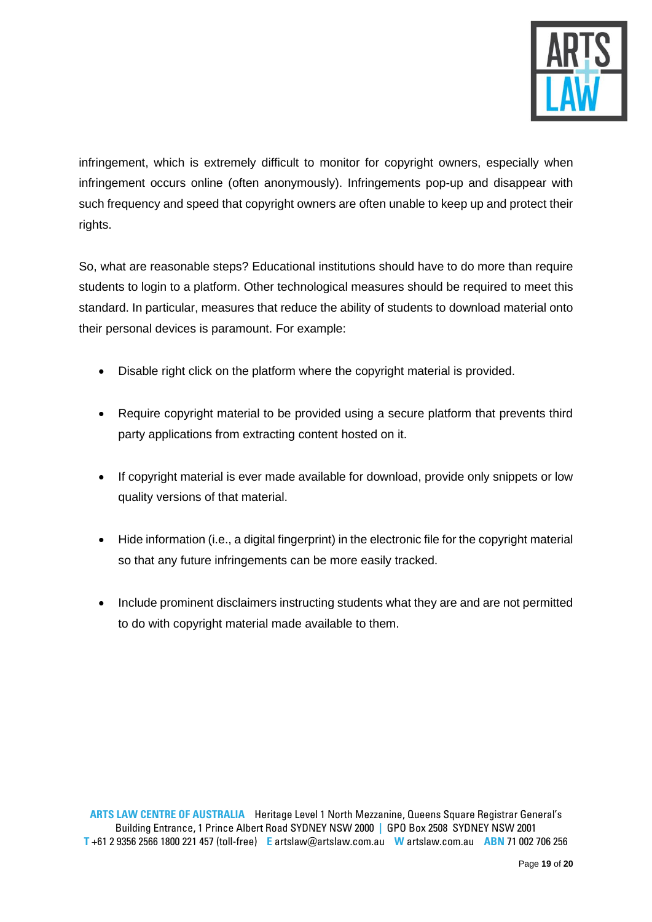

infringement, which is extremely difficult to monitor for copyright owners, especially when infringement occurs online (often anonymously). Infringements pop-up and disappear with such frequency and speed that copyright owners are often unable to keep up and protect their rights.

So, what are reasonable steps? Educational institutions should have to do more than require students to login to a platform. Other technological measures should be required to meet this standard. In particular, measures that reduce the ability of students to download material onto their personal devices is paramount. For example:

- Disable right click on the platform where the copyright material is provided.
- Require copyright material to be provided using a secure platform that prevents third party applications from extracting content hosted on it.
- If copyright material is ever made available for download, provide only snippets or low quality versions of that material.
- Hide information (i.e., a digital fingerprint) in the electronic file for the copyright material so that any future infringements can be more easily tracked.
- <span id="page-18-0"></span>• Include prominent disclaimers instructing students what they are and are not permitted to do with copyright material made available to them.